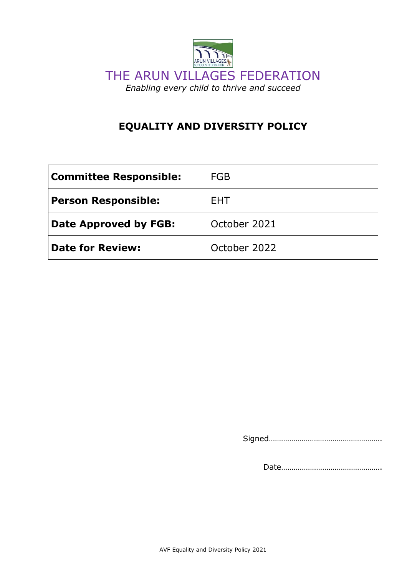

# **EQUALITY AND DIVERSITY POLICY**

| <b>Committee Responsible:</b> | <b>FGB</b>   |
|-------------------------------|--------------|
| <b>Person Responsible:</b>    | <b>FHT</b>   |
| Date Approved by FGB:         | October 2021 |
| <b>Date for Review:</b>       | October 2022 |

Signed……………………………………………….

Date………………………………………….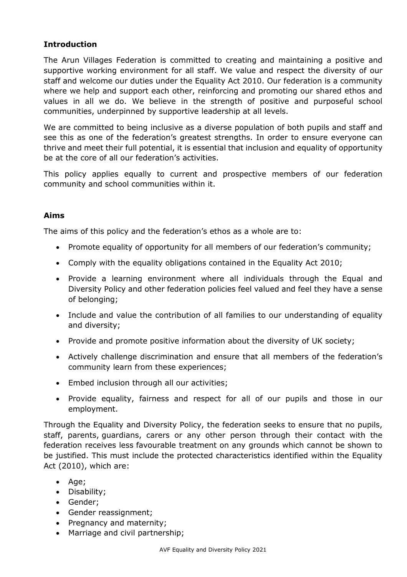## **Introduction**

The Arun Villages Federation is committed to creating and maintaining a positive and supportive working environment for all staff. We value and respect the diversity of our staff and welcome our duties under the Equality Act 2010. Our federation is a community where we help and support each other, reinforcing and promoting our shared ethos and values in all we do. We believe in the strength of positive and purposeful school communities, underpinned by supportive leadership at all levels.

We are committed to being inclusive as a diverse population of both pupils and staff and see this as one of the federation's greatest strengths. In order to ensure everyone can thrive and meet their full potential, it is essential that inclusion and equality of opportunity be at the core of all our federation's activities.

This policy applies equally to current and prospective members of our federation community and school communities within it.

## **Aims**

The aims of this policy and the federation's ethos as a whole are to:

- Promote equality of opportunity for all members of our federation's community;
- Comply with the equality obligations contained in the Equality Act 2010;
- Provide a learning environment where all individuals through the Equal and Diversity Policy and other federation policies feel valued and feel they have a sense of belonging;
- Include and value the contribution of all families to our understanding of equality and diversity;
- Provide and promote positive information about the diversity of UK society;
- Actively challenge discrimination and ensure that all members of the federation's community learn from these experiences;
- Embed inclusion through all our activities;
- Provide equality, fairness and respect for all of our pupils and those in our employment.

Through the Equality and Diversity Policy, the federation seeks to ensure that no pupils, staff, parents, guardians, carers or any other person through their contact with the federation receives less favourable treatment on any grounds which cannot be shown to be justified. This must include the protected characteristics identified within the Equality Act (2010), which are:

- Age;
- Disability;
- Gender;
- Gender reassignment;
- Pregnancy and maternity;
- Marriage and civil partnership;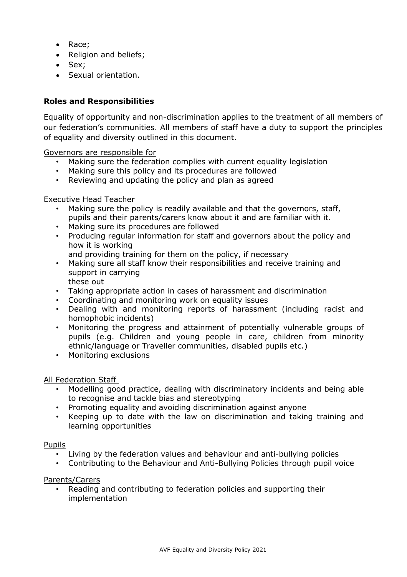- Race;
- Religion and beliefs;
- Sex;
- Sexual orientation.

## **Roles and Responsibilities**

Equality of opportunity and non-discrimination applies to the treatment of all members of our federation's communities. All members of staff have a duty to support the principles of equality and diversity outlined in this document.

Governors are responsible for

- Making sure the federation complies with current equality legislation
- Making sure this policy and its procedures are followed
- Reviewing and updating the policy and plan as agreed

#### Executive Head Teacher

- Making sure the policy is readily available and that the governors, staff, pupils and their parents/carers know about it and are familiar with it.
- Making sure its procedures are followed
- Producing regular information for staff and governors about the policy and how it is working
	- and providing training for them on the policy, if necessary
- Making sure all staff know their responsibilities and receive training and support in carrying these out
- Taking appropriate action in cases of harassment and discrimination
	- Coordinating and monitoring work on equality issues
- Dealing with and monitoring reports of harassment (including racist and homophobic incidents)
- Monitoring the progress and attainment of potentially vulnerable groups of pupils (e.g. Children and young people in care, children from minority ethnic/language or Traveller communities, disabled pupils etc.)
- Monitoring exclusions

#### All Federation Staff

- Modelling good practice, dealing with discriminatory incidents and being able to recognise and tackle bias and stereotyping
- Promoting equality and avoiding discrimination against anyone
- Keeping up to date with the law on discrimination and taking training and learning opportunities

#### Pupils

- Living by the federation values and behaviour and anti-bullying policies
- Contributing to the Behaviour and Anti-Bullying Policies through pupil voice

#### Parents/Carers

• Reading and contributing to federation policies and supporting their implementation